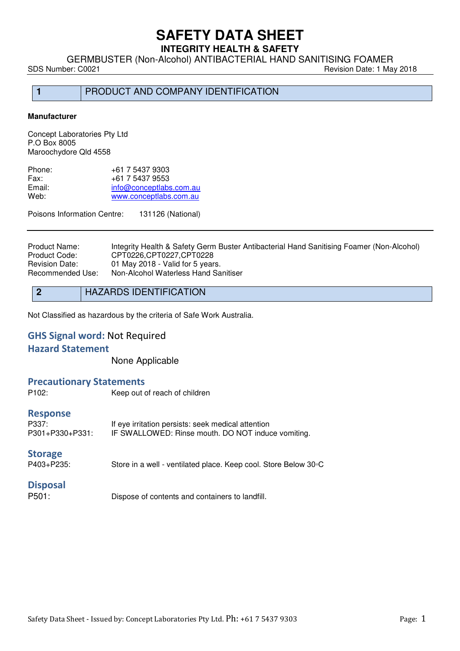# **SAFETY DATA SHEET INTEGRITY HEALTH & SAFETY**

GERMBUSTER (Non-Alcohol) ANTIBACTERIAL HAND SANITISING FOAMER<br>Revision Date: 1 Ma

Revision Date: 1 May 2018

1 PRODUCT AND COMPANY IDENTIFICATION

#### **Manufacturer**

Concept Laboratories Pty Ltd P.O Box 8005 Maroochydore Qld 4558

| +61 7 5437 9303         |
|-------------------------|
| +61 7 5437 9553         |
| info@conceptlabs.com.au |
| www.conceptlabs.com.au  |
|                         |

Poisons Information Centre: 131126 (National)

Product Name: Integrity Health & Safety Germ Buster Antibacterial Hand Sanitising Foamer (Non-Alcohol)<br>Product Code: CPT0226,CPT0227,CPT0228 Product Code: CPT0226, CPT0227, CPT0228<br>
Revision Date: 01 May 2018 - Valid for 5 year 01 May 2018 - Valid for 5 years. Recommended Use: Non-Alcohol Waterless Hand Sanitiser

| 2 | <b>HAZARDS IDENTIFICATION</b> |
|---|-------------------------------|
|---|-------------------------------|

Not Classified as hazardous by the criteria of Safe Work Australia.

# **GHS Signal word:** Not Required

#### **Hazard Statement**

None Applicable

### **Precautionary Statements**

| P <sub>102</sub> :                          | Keep out of reach of children                                                                            |
|---------------------------------------------|----------------------------------------------------------------------------------------------------------|
| <b>Response</b><br>P337:<br>P301+P330+P331: | If eye irritation persists: seek medical attention<br>IF SWALLOWED: Rinse mouth. DO NOT induce vomiting. |
| <b>Storage</b><br>P403+P235:                | Store in a well - ventilated place. Keep cool. Store Below 30 °C                                         |
| <b>Disposal</b>                             |                                                                                                          |

P501: Dispose of contents and containers to landfill.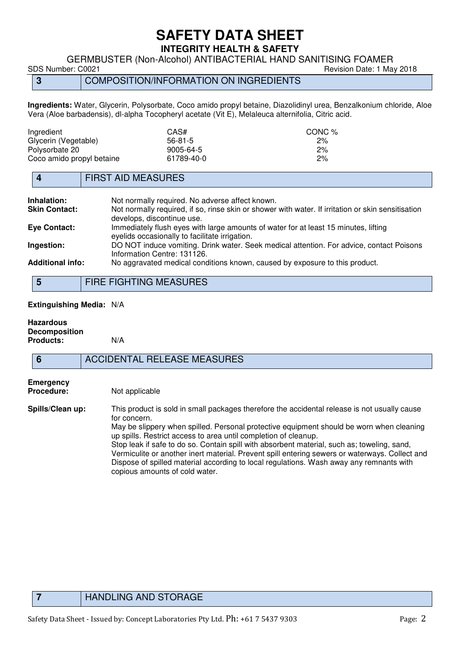# **SAFETY DATA SHEET INTEGRITY HEALTH & SAFETY**

GERMBUSTER (Non-Alcohol) ANTIBACTERIAL HAND SANITISING FOAMER<br>Revision Date: 1 Ma

Revision Date: 1 May 2018

**3** COMPOSITION/INFORMATION ON INGREDIENTS

**Ingredients:** Water, Glycerin, Polysorbate, Coco amido propyl betaine, Diazolidinyl urea, Benzalkonium chloride, Aloe Vera (Aloe barbadensis), dl-alpha Tocopheryl acetate (Vit E), Melaleuca alternifolia, Citric acid.

| Ingredient                | CAS#       | CONC % |
|---------------------------|------------|--------|
| Glycerin (Vegetable)      | 56-81-5    | 2%     |
| Polysorbate 20            | 9005-64-5  | 2%     |
| Coco amido propyl betaine | 61789-40-0 | 2%     |

## **4** FIRST AID MEASURES

| Inhalation:             | Not normally required. No adverse affect known.                                                                                       |
|-------------------------|---------------------------------------------------------------------------------------------------------------------------------------|
| <b>Skin Contact:</b>    | Not normally required, if so, rinse skin or shower with water. If irritation or skin sensitisation<br>develops, discontinue use.      |
| Eye Contact:            | Immediately flush eyes with large amounts of water for at least 15 minutes, lifting<br>eyelids occasionally to facilitate irrigation. |
| Ingestion:              | DO NOT induce vomiting. Drink water. Seek medical attention. For advice, contact Poisons<br>Information Centre: 131126.               |
| <b>Additional info:</b> | No aggravated medical conditions known, caused by exposure to this product.                                                           |

**5** FIRE FIGHTING MEASURES

**Extinguishing Media:** N/A

#### **Hazardous Decomposition Products:** N/A

**6** ACCIDENTAL RELEASE MEASURES

# **Emergency**

**Procedure:** Not applicable

**Spills/Clean up:** This product is sold in small packages therefore the accidental release is not usually cause for concern. May be slippery when spilled. Personal protective equipment should be worn when cleaning

> up spills. Restrict access to area until completion of cleanup. Stop leak if safe to do so. Contain spill with absorbent material, such as; toweling, sand, Vermiculite or another inert material. Prevent spill entering sewers or waterways. Collect and Dispose of spilled material according to local regulations. Wash away any remnants with copious amounts of cold water.

# **7** HANDLING AND STORAGE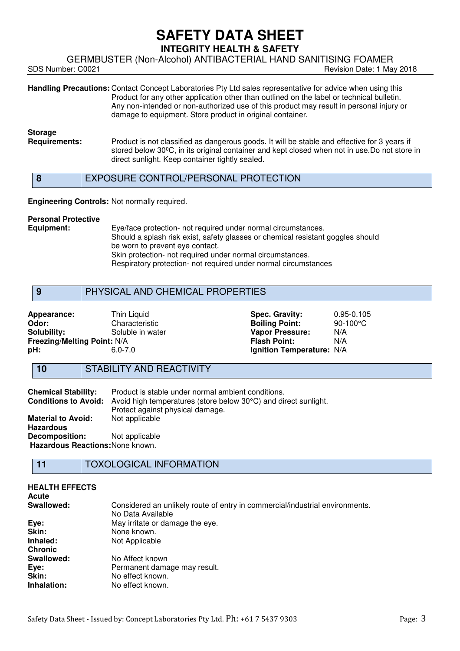GERMBUSTER (Non-Alcohol) ANTIBACTERIAL HAND SANITISING FOAMER<br>Revision Date: 1 Ma

Revision Date: 1 May 2018

**Handling Precautions:** Contact Concept Laboratories Pty Ltd sales representative for advice when using this Product for any other application other than outlined on the label or technical bulletin. Any non-intended or non-authorized use of this product may result in personal injury or damage to equipment. Store product in original container.

# **Storage**

**Requirements:** Product is not classified as dangerous goods. It will be stable and effective for 3 years if stored below 30°C, in its original container and kept closed when not in use.Do not store in direct sunlight. Keep container tightly sealed.

## **8** EXPOSURE CONTROL/PERSONAL PROTECTION

#### **Engineering Controls:** Not normally required.

# **Personal Protective**

Eye/face protection- not required under normal circumstances. Should a splash risk exist, safety glasses or chemical resistant goggles should be worn to prevent eye contact. Skin protection- not required under normal circumstances. Respiratory protection- not required under normal circumstances

### **9** PHYSICAL AND CHEMICAL PROPERTIES

| Appearance:                        | Thin Liquid      | <b>Spec. Gravity:</b>     | $0.95 - 0.105$     |
|------------------------------------|------------------|---------------------------|--------------------|
| Odor:                              | Characteristic   | <b>Boiling Point:</b>     | $90-100^{\circ}$ C |
| Solubility:                        | Soluble in water | <b>Vapor Pressure:</b>    | N/A                |
| <b>Freezing/Melting Point: N/A</b> |                  | <b>Flash Point:</b>       | N/A                |
| pH:                                | $6.0 - 7.0$      | Ignition Temperature: N/A |                    |
|                                    |                  |                           |                    |

# **10 STABILITY AND REACTIVITY**

| <b>Chemical Stability:</b>       | Product is stable under normal ambient conditions.<br><b>Conditions to Avoid:</b> Avoid high temperatures (store below 30°C) and direct sunlight. |  |
|----------------------------------|---------------------------------------------------------------------------------------------------------------------------------------------------|--|
|                                  | Protect against physical damage.                                                                                                                  |  |
| <b>Material to Avoid:</b>        | Not applicable                                                                                                                                    |  |
| <b>Hazardous</b>                 |                                                                                                                                                   |  |
| <b>Decomposition:</b>            | Not applicable                                                                                                                                    |  |
| Hazardous Reactions: None known. |                                                                                                                                                   |  |

# **11** TOXOLOGICAL INFORMATION

| <b>HEALTH EFFECTS</b><br>Acute |                                                                              |
|--------------------------------|------------------------------------------------------------------------------|
| Swallowed:                     | Considered an unlikely route of entry in commercial/industrial environments. |
|                                | No Data Available                                                            |
| Eye:                           | May irritate or damage the eye.                                              |
| Skin:                          | None known.                                                                  |
| Inhaled:                       | Not Applicable                                                               |
| <b>Chronic</b>                 |                                                                              |
| Swallowed:                     | No Affect known                                                              |
| Eye:                           | Permanent damage may result.                                                 |
| Skin:                          | No effect known.                                                             |
| Inhalation:                    | No effect known.                                                             |